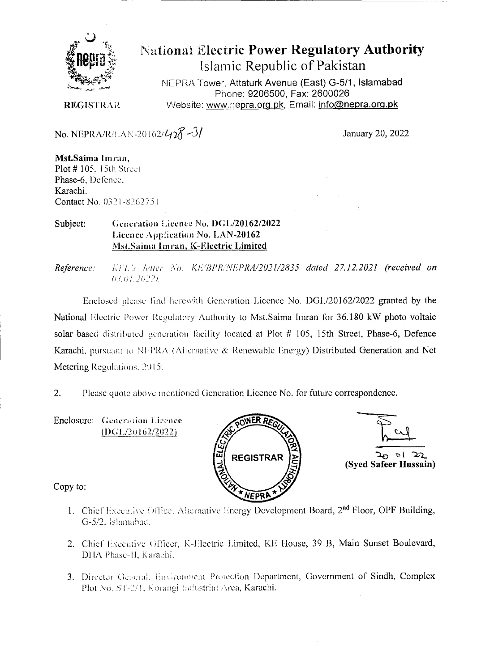

# **National Electric Power Regulatory Authority** Islamic Republic of Pakistan

NEPRA Tower, Attaturk Avenue (East) G-5/1, Islamabad Phone: 9206500, Fax: 2600026 Website: www.nepra.org.pk, Email: info@nepra.org.pk

**REGISTRAR** 

No. NEPRA/R/LAN-20162/428-31

January 20, 2022

Mst.Saima Imran, Plot #105, 15th Street Phase-6, Defence, Karachi. Contact No. 0321-8262751

Generation Licence No. DGL/20162/2022 Subject: Licence Application No. LAN-20162 Mst.Saima Imran, K-Electric Limited

KEL's letter No. KE/BPR/NEPRA/2021/2835 dated 27.12.2021 (received on Reference: 03.01.2022).

Enclosed please find herewith Generation Licence No. DGL/20162/2022 granted by the National Electric Power Regulatory Authority to Mst.Saima Imran for 36.180 kW photo voltaic solar based distributed generation facility located at Plot # 105, 15th Street, Phase-6, Defence Karachi, pursuant to NEPRA (Alternative & Renewable Energy) Distributed Generation and Net Metering Regulations, 2015.

Please quote above mentioned Generation Licence No. for future correspondence.  $2.$ 

Enclosure: Generation Licence  $(DGL/20162/2022)$ 





Copy to:

- 1. Chief Executive Office, Alternative Energy Development Board, 2<sup>nd</sup> Floor, OPF Building, G-5/2. Islamabad.
- 2. Chief Executive Officer, K-Electric Limited, KE House, 39 B, Main Sunset Boulevard, DHA Phase-H, Karachi,
- 3. Director General, Environment Protection Department, Government of Sindh, Complex Plot No. ST-2/1, Korangi Industrial Area, Karachi.